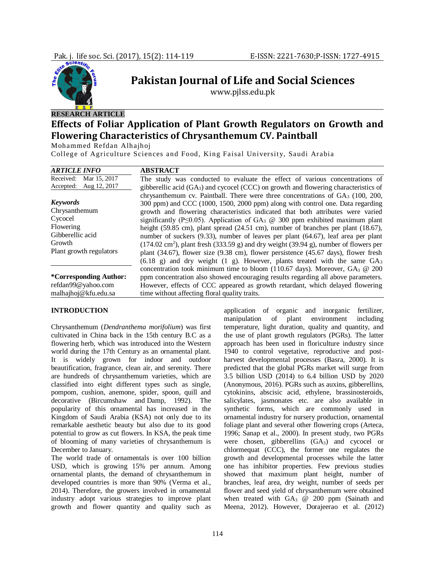

# **RESEARCH ARTICLE**

# **Effects of Foliar Application of Plant Growth Regulators on Growth and Flowering Characteristics of Chrysanthemum CV. Paintball**

**Pakistan Journal of Life and Social Sciences** www.pjlss.edu.pk

Mohammed Refdan Alhajhoj

College of Agriculture Sciences and Food, King Faisal University, Saudi Arabia

| <b>ARTICLE INFO</b>           | <b>ABSTRACT</b>                                                                                                       |  |  |  |  |  |
|-------------------------------|-----------------------------------------------------------------------------------------------------------------------|--|--|--|--|--|
| Received:<br>Mar 15, 2017     | The study was conducted to evaluate the effect of various concentrations of                                           |  |  |  |  |  |
| Aug 12, 2017<br>Accepted:     | gibberellic acid $(GA_3)$ and cycocel (CCC) on growth and flowering characteristics of                                |  |  |  |  |  |
|                               | chrysanthemum cv. Paintball. There were three concentrations of $GA_3$ (100, 200,                                     |  |  |  |  |  |
| <b>Keywords</b>               | 300 ppm) and CCC (1000, 1500, 2000 ppm) along with control one. Data regarding                                        |  |  |  |  |  |
| Chrysanthemum                 | growth and flowering characteristics indicated that both attributes were varied                                       |  |  |  |  |  |
| Cycocel                       | significantly (P $\leq$ 0.05). Application of GA <sub>3</sub> @ 300 ppm exhibited maximum plant                       |  |  |  |  |  |
| Flowering                     | height $(59.85 \text{ cm})$ , plant spread $(24.51 \text{ cm})$ , number of branches per plant $(18.67)$ ,            |  |  |  |  |  |
| Gibberellic acid              | number of suckers (9.33), number of leaves per plant (64.67), leaf area per plant                                     |  |  |  |  |  |
| Growth                        | $(174.02 \text{ cm}^2)$ , plant fresh $(333.59 \text{ g})$ and dry weight $(39.94 \text{ g})$ , number of flowers per |  |  |  |  |  |
| Plant growth regulators       | plant $(34.67)$ , flower size $(9.38 \text{ cm})$ , flower persistence $(45.67 \text{ days})$ , flower fresh          |  |  |  |  |  |
|                               | $(6.18 \text{ g})$ and dry weight $(1 \text{ g})$ . However, plants treated with the same $GA_3$                      |  |  |  |  |  |
|                               | concentration took minimum time to bloom (110.67 days). Moreover, GA <sub>3</sub> @ 200                               |  |  |  |  |  |
| <i>*Corresponding Author:</i> | ppm concentration also showed encouraging results regarding all above parameters.                                     |  |  |  |  |  |
| refdan99@yahoo.com            | However, effects of CCC appeared as growth retardant, which delayed flowering                                         |  |  |  |  |  |
| malhajhoj@kfu.edu.sa          | time without affecting floral quality traits.                                                                         |  |  |  |  |  |

## **INTRODUCTION**

Chrysanthemum (*Dendranthema morifolium*) was first cultivated in China back in the 15th century B.C as a flowering herb, which was introduced into the Western world during the 17th Century as an ornamental plant. It is widely grown for indoor and outdoor beautification, fragrance, clean air, and serenity. There are hundreds of chrysanthemum varieties, which are classified into eight different types such as single, pompom, cushion, anemone, spider, spoon, quill and decorative (Bircumshaw and Damp, 1992). The popularity of this ornamental has increased in the Kingdom of Saudi Arabia (KSA) not only due to its remarkable aesthetic beauty but also due to its good potential to grow as cut flowers. In KSA, the peak time of blooming of many varieties of chrysanthemum is December to January.

The world trade of ornamentals is over 100 billion USD, which is growing 15% per annum. Among ornamental plants, the demand of chrysanthemum in developed countries is more than 90% (Verma et al., 2014). Therefore, the growers involved in ornamental industry adopt various strategies to improve plant growth and flower quantity and quality such as

application of organic and inorganic fertilizer, manipulation of plant environment including temperature, light duration, quality and quantity, and the use of plant growth regulators (PGRs). The latter approach has been used in floriculture industry since 1940 to control vegetative, reproductive and postharvest developmental processes (Basra, 2000). It is predicted that the global PGRs market will surge from 3.5 billion USD (2014) to 6.4 billion USD by 2020 (Anonymous, 2016). PGRs such as auxins, gibberellins, cytokinins, abscisic acid, ethylene, brassinosteroids, salicylates, jasmonates etc. are also available in synthetic forms, which are commonly used in ornamental industry for nursery production, ornamental foliage plant and several other flowering crops (Arteca, 1996; Sanap et al., 2000). In present study, two PGRs were chosen, gibberellins (GA<sub>3</sub>) and cycocel or chlormequat (CCC), the former one regulates the growth and developmental processes while the latter one has inhibitor properties. Few previous studies showed that maximum plant height, number of branches, leaf area, dry weight, number of seeds per flower and seed yield of chrysanthemum were obtained when treated with  $GA_3$  @ 200 ppm (Sainath and Meena, 2012). However, Dorajeerao et al. (2012)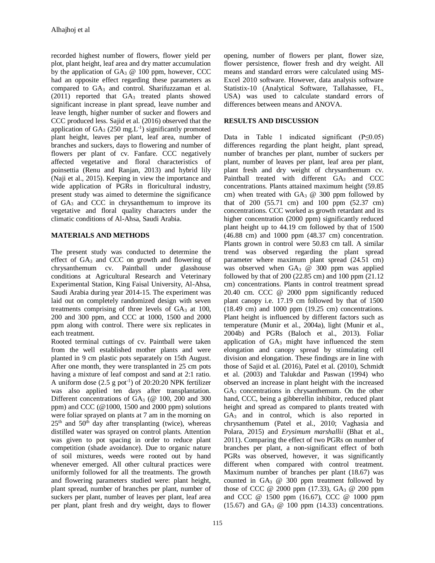recorded highest number of flowers, flower yield per plot, plant height, leaf area and dry matter accumulation by the application of  $GA_3 \tQ 100$  ppm, however, CCC had an opposite effect regarding these parameters as compared to  $GA_3$  and control. Sharifuzzaman et al.  $(2011)$  reported that  $GA<sub>3</sub>$  treated plants showed significant increase in plant spread, leave number and leave length, higher number of sucker and flowers and CCC produced less. Sajid et al. (2016) observed that the application of  $GA_3$  (250 mg. L<sup>-1</sup>) significantly promoted plant height, leaves per plant, leaf area, number of branches and suckers, days to flowering and number of flowers per plant of cv. Fanfare. CCC negatively affected vegetative and floral characteristics of poinsettia (Renu and Ranjan, 2013) and hybrid lily (Naji et al., 2015). Keeping in view the importance and wide application of PGRs in floricultural industry, present study was aimed to determine the significance of GA<sup>3</sup> and CCC in chrysanthemum to improve its vegetative and floral quality characters under the climatic conditions of Al-Ahsa, Saudi Arabia.

# **MATERIALS AND METHODS**

The present study was conducted to determine the effect of GA<sub>3</sub> and CCC on growth and flowering of chrysanthemum cv. Paintball under glasshouse conditions at Agricultural Research and Veterinary Experimental Station, King Faisal University, Al-Ahsa, Saudi Arabia during year 2014-15. The experiment was laid out on completely randomized design with seven treatments comprising of three levels of GA3 at 100, 200 and 300 ppm, and CCC at 1000, 1500 and 2000 ppm along with control. There were six replicates in each treatment.

Rooted terminal cuttings of cv. Paintball were taken from the well established mother plants and were planted in 9 cm plastic pots separately on 15th August. After one month, they were transplanted in 25 cm pots having a mixture of leaf compost and sand at 2:1 ratio. A uniform dose  $(2.5 \text{ g pot}^{-1})$  of  $20:20:20$  NPK fertilizer was also applied ten days after transplantation. Different concentrations of  $GA_3$  ( $@$  100, 200 and 300 ppm) and CCC ( $@1000$ , 1500 and 2000 ppm) solutions were foliar sprayed on plants at 7 am in the morning on  $25<sup>th</sup>$  and  $50<sup>th</sup>$  day after transplanting (twice), whereas distilled water was sprayed on control plants. Attention was given to pot spacing in order to reduce plant competition (shade avoidance). Due to organic nature of soil mixtures, weeds were rooted out by hand whenever emerged. All other cultural practices were uniformly followed for all the treatments. The growth and flowering parameters studied were: plant height, plant spread, number of branches per plant, number of suckers per plant, number of leaves per plant, leaf area per plant, plant fresh and dry weight, days to flower

opening, number of flowers per plant, flower size, flower persistence, flower fresh and dry weight. All means and standard errors were calculated using MS-Excel 2010 software. However, data analysis software Statistix-10 (Analytical Software, Tallahassee, FL, USA) was used to calculate standard errors of differences between means and ANOVA.

# **RESULTS AND DISCUSSION**

Data in Table 1 indicated significant (P≤0.05) differences regarding the plant height, plant spread, number of branches per plant, number of suckers per plant, number of leaves per plant, leaf area per plant, plant fresh and dry weight of chrysanthemum cv. Paintball treated with different GA<sub>3</sub> and CCC concentrations. Plants attained maximum height (59.85 cm) when treated with  $GA_3 \tQ 300$  ppm followed by that of 200 (55.71 cm) and 100 ppm (52.37 cm) concentrations. CCC worked as growth retardant and its higher concentration (2000 ppm) significantly reduced plant height up to 44.19 cm followed by that of 1500 (46.88 cm) and 1000 ppm (48.37 cm) concentration. Plants grown in control were 50.83 cm tall. A similar trend was observed regarding the plant spread parameter where maximum plant spread (24.51 cm) was observed when  $GA_3$  @ 300 ppm was applied followed by that of 200 (22.85 cm) and 100 ppm (21.12 cm) concentrations. Plants in control treatment spread 20.40 cm. CCC @ 2000 ppm significantly reduced plant canopy i.e. 17.19 cm followed by that of 1500 (18.49 cm) and 1000 ppm (19.25 cm) concentrations. Plant height is influenced by different factors such as temperature (Munir et al., 2004a), light (Munir et al., 2004b) and PGRs (Baloch et al., 2013). Foliar application of  $GA_3$  might have influenced the stem elongation and canopy spread by stimulating cell division and elongation. These findings are in line with those of Sajid et al. (2016), Patel et al. (2010), Schmidt et al. (2003) and Talukdar and Paswan (1994) who observed an increase in plant height with the increased GA<sub>3</sub> concentrations in chrysanthemum. On the other hand, CCC, being a gibberellin inhibitor, reduced plant height and spread as compared to plants treated with GA<sup>3</sup> and in control, which is also reported in chrysanthemum (Patel et al., 2010; Vaghasia and Polara, 2015) and *Erysimum marshallii* (Bhat et al., 2011). Comparing the effect of two PGRs on number of branches per plant, a non-significant effect of both PGRs was observed, however, it was significantly different when compared with control treatment. Maximum number of branches per plant (18.67) was counted in  $GA_3$  @ 300 ppm treatment followed by those of CCC @ 2000 ppm (17.33), GA<sub>3</sub> @ 200 ppm and CCC @ 1500 ppm (16.67), CCC @ 1000 ppm  $(15.67)$  and  $GA_3$  @ 100 ppm  $(14.33)$  concentrations.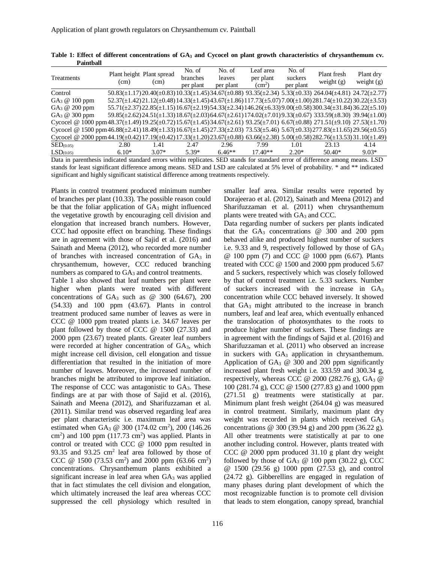| Treatments                                                                                                                  | (cm)    | Plant height Plant spread<br>(cm) | No. of<br>branches<br>per plant | No. of<br>leaves<br>per plant | Leaf area<br>per plant<br>(cm <sup>2</sup> ) | No. of<br>suckers<br>per plant | Plant fresh<br>weight $(g)$                                                                                                                       | Plant dry<br>weight $(g)$ |
|-----------------------------------------------------------------------------------------------------------------------------|---------|-----------------------------------|---------------------------------|-------------------------------|----------------------------------------------|--------------------------------|---------------------------------------------------------------------------------------------------------------------------------------------------|---------------------------|
| Control                                                                                                                     |         |                                   |                                 |                               |                                              |                                | $50.83(\pm 1.17)20.40(\pm 0.83)10.33(\pm 1.45)34.67(\pm 0.88)$ $93.35(\pm 2.34)$ $5.33(\pm 0.33)$ $264.04(\pm 4.81)$ $24.72(\pm 2.77)$            |                           |
| $GA_3 \t@ 100$ ppm                                                                                                          |         |                                   |                                 |                               |                                              |                                | $52.37(\pm 1.42)21.12(\pm 0.48)14.33(\pm 1.45)43.67(\pm 1.86)117.73(\pm 5.07)7.00(\pm 1.00)281.74(\pm 10.22)30.22(\pm 3.53)$                      |                           |
| $GA_3 \n\textcircled{a} 200$ ppm                                                                                            |         |                                   |                                 |                               |                                              |                                | $55.71(\pm 2.37)$ $22.85(\pm 1.15)$ $16.67(\pm 2.19)$ $54.33(\pm 2.34)$ $146.26(\pm 6.33)$ $9.00(\pm 0.58)$ $300.34(\pm 31.84)$ $36.22(\pm 5.10)$ |                           |
| $GA_3 \n\textcircled{a} 300$ ppm                                                                                            |         |                                   |                                 |                               |                                              |                                | $59.85(\pm 2.62)24.51(\pm 1.33)18.67(\pm 2.03)64.67(\pm 2.61)174.02(\pm 7.01)9.33(\pm 0.67)$ 333.59( $\pm 8.30$ ) 39.94( $\pm 1.00$ )             |                           |
| Cycocel @ 1000 ppm48.37(±1.49)19.25(±0.72)15.67(±1.45)34.67(±2.61) 93.25(±7.01) 6.67(±0.88) 271.51(±9.10) 27.53(±1.70)      |         |                                   |                                 |                               |                                              |                                |                                                                                                                                                   |                           |
| Cycocel @ 1500 ppm 46.88(±2.41) 18.49(±1.33) 16.67(±1.45) 27.33(±2.03) 73.53(±5.46) 5.67(±0.33) 277.83(±11.65) 29.56(±0.55) |         |                                   |                                 |                               |                                              |                                |                                                                                                                                                   |                           |
| Cycocel @ 2000 ppm44.19(±0.42)17.19(±0.42)17.33(±1.20)23.67(±0.88) 63.66(±2.38) 5.00(±0.58)282.76(±13.53)31.10(±1.49)       |         |                                   |                                 |                               |                                              |                                |                                                                                                                                                   |                           |
| $\text{SED}_{(0.05)}$                                                                                                       | 2.80    | 1.41                              | 2.47                            | 2.96                          | 7.99                                         | 1.01                           | 23.13                                                                                                                                             | 4.14                      |
| LSD <sub>(0.05)</sub>                                                                                                       | $6.10*$ | $3.07*$                           | $5.39*$                         | $6.46**$                      | $17.40**$                                    | $2.20*$                        | $50.40*$                                                                                                                                          | $9.03*$                   |

**Table 1: Effect of different concentrations of GA<sup>3</sup> and Cycocel on plant growth characteristics of chrysanthemum cv. Paintball**

Data in parenthesis indicated standard errors within replicates. SED stands for standard error of difference among means. LSD stands for least significant difference among means. SED and LSD are calculated at 5% level of probability. \* and \*\* indicated significant and highly significant statistical difference among treatments respectively.

Plants in control treatment produced minimum number of branches per plant (10.33). The possible reason could be that the foliar application of GA<sub>3</sub> might influenced the vegetative growth by encouraging cell division and elongation that increased branch numbers. However, CCC had opposite effect on branching. These findings are in agreement with those of Sajid et al. (2016) and Sainath and Meena (2012), who recorded more number of branches with increased concentration of  $GA_3$  in chrysanthemum, however, CCC reduced branching numbers as compared to GA<sub>3</sub> and control treatments.

Table 1 also showed that leaf numbers per plant were higher when plants were treated with different concentrations of  $GA_3$  such as @ 300 (64.67), 200 (54.33) and 100 ppm (43.67). Plants in control treatment produced same number of leaves as were in CCC @ 1000 ppm treated plants i.e. 34.67 leaves per plant followed by those of CCC @ 1500 (27.33) and 2000 ppm (23.67) treated plants. Greater leaf numbers were recorded at higher concentration of GA3, which might increase cell division, cell elongation and tissue differentiation that resulted in the initiation of more number of leaves. Moreover, the increased number of branches might be attributed to improve leaf initiation. The response of CCC was antagonistic to  $GA_3$ . These findings are at par with those of Sajid et al. (2016), Sainath and Meena (2012), and Sharifuzzaman et al. (2011). Similar trend was observed regarding leaf area per plant characteristic i.e. maximum leaf area was estimated when GA<sub>3</sub> @ 300 (174.02 cm<sup>2</sup>), 200 (146.26  $\text{cm}^2$ ) and 100 ppm (117.73 cm<sup>2</sup>) was applied. Plants in control or treated with CCC @ 1000 ppm resulted in 93.35 and 93.25 cm<sup>2</sup> leaf area followed by those of CCC @ 1500 (73.53 cm<sup>2</sup>) and 2000 ppm (63.66 cm<sup>2</sup>) concentrations. Chrysanthemum plants exhibited a significant increase in leaf area when GA<sub>3</sub> was applied that in fact stimulates the cell division and elongation, which ultimately increased the leaf area whereas CCC suppressed the cell physiology which resulted in

smaller leaf area. Similar results were reported by Dorajeerao et al. (2012), Sainath and Meena (2012) and Sharifuzzaman et al. (2011) when chrysanthemum plants were treated with GA<sub>3</sub> and CCC.

Data regarding number of suckers per plants indicated that the  $GA_3$  concentrations  $@$  300 and 200 ppm behaved alike and produced highest number of suckers i.e. 9.33 and 9, respectively followed by those of GA<sup>3</sup> @ 100 ppm (7) and CCC @ 1000 ppm (6.67). Plants treated with CCC @ 1500 and 2000 ppm produced 5.67 and 5 suckers, respectively which was closely followed by that of control treatment i.e. 5.33 suckers. Number of suckers increased with the increase in GA<sup>3</sup> concentration while CCC behaved inversely. It showed that GA<sup>3</sup> might attributed to the increase in branch numbers, leaf and leaf area, which eventually enhanced the translocation of photosynthates to the roots to produce higher number of suckers. These findings are in agreement with the findings of Sajid et al. (2016) and Sharifuzzaman et al. (2011) who observed an increase in suckers with  $GA_3$  application in chrysanthemum. Application of  $GA_3$  @ 300 and 200 ppm significantly increased plant fresh weight i.e. 333.59 and 300.34 g, respectively, whereas CCC @ 2000 (282.76 g),  $GA_3$  @ 100 (281.74 g), CCC @ 1500 (277.83 g) and 1000 ppm (271.51 g) treatments were statistically at par. Minimum plant fresh weight (264.04 g) was measured in control treatment. Similarly, maximum plant dry weight was recorded in plants which received GA<sup>3</sup> concentrations @ 300 (39.94 g) and 200 ppm (36.22 g). All other treatments were statistically at par to one another including control. However, plants treated with CCC @ 2000 ppm produced 31.10 g plant dry weight followed by those of  $GA_3 \n\textcircled{a}$  100 ppm (30.22 g), CCC @ 1500 (29.56 g) 1000 ppm (27.53 g), and control (24.72 g). Gibberellins are engaged in regulation of many phases during plant development of which the most recognizable function is to promote cell division that leads to stem elongation, canopy spread, branchial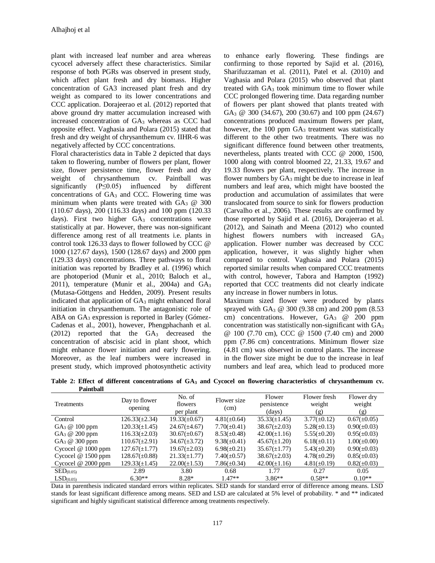plant with increased leaf number and area whereas cycocel adversely affect these characteristics. Similar response of both PGRs was observed in present study, which affect plant fresh and dry biomass. Higher concentration of GA3 increased plant fresh and dry weight as compared to its lower concentrations and CCC application. Dorajeerao et al. (2012) reported that above ground dry matter accumulation increased with increased concentration of GA<sub>3</sub> whereas as CCC had opposite effect. Vaghasia and Polara (2015) stated that fresh and dry weight of chrysanthemum cv. IIHR-6 was negatively affected by CCC concentrations.

Floral characteristics data in Table 2 depicted that days taken to flowering, number of flowers per plant, flower size, flower persistence time, flower fresh and dry weight of chrysanthemum cv. Paintball was significantly (P≤0.05) influenced by different concentrations of  $GA<sub>3</sub>$  and CCC. Flowering time was minimum when plants were treated with  $GA_3 \tQ 300$ (110.67 days), 200 (116.33 days) and 100 ppm (120.33 days). First two higher  $GA<sub>3</sub>$  concentrations were statistically at par. However, there was non-significant difference among rest of all treatments i.e. plants in control took 126.33 days to flower followed by CCC @ 1000 (127.67 days), 1500 (128.67 days) and 2000 ppm (129.33 days) concentrations. Three pathways to floral initiation was reported by Bradley et al. (1996) which are photoperiod (Munir et al., 2010; Baloch et al., 2011), temperature (Munir et al., 2004a) and GA<sup>3</sup> (Mutasa-Göttgens and Hedden, 2009). Present results indicated that application of GA<sub>3</sub> might enhanced floral initiation in chrysanthemum. The antagonistic role of ABA on GA<sub>3</sub> expression is reported in Barley (Gómez-Cadenas et al., 2001), however, Phengphachanh et al. (2012) reported that the GA<sup>3</sup> decreased the concentration of abscisic acid in plant shoot, which might enhance flower initiation and early flowering. Moreover, as the leaf numbers were increased in present study, which improved photosynthetic activity

to enhance early flowering. These findings are confirming to those reported by Sajid et al. (2016), Sharifuzzaman et al. (2011), Patel et al. (2010) and Vaghasia and Polara (2015) who observed that plant treated with  $GA_3$  took minimum time to flower while CCC prolonged flowering time. Data regarding number of flowers per plant showed that plants treated with GA<sub>3</sub> @ 300 (34.67), 200 (30.67) and 100 ppm (24.67) concentrations produced maximum flowers per plant, however, the 100 ppm GA<sub>3</sub> treatment was statistically different to the other two treatments. There was no significant difference found between other treatments, nevertheless, plants treated with CCC @ 2000, 1500, 1000 along with control bloomed 22, 21.33, 19.67 and 19.33 flowers per plant, respectively. The increase in flower numbers by  $GA_3$  might be due to increase in leaf numbers and leaf area, which might have boosted the production and accumulation of assimilates that were translocated from source to sink for flowers production (Carvalho et al., 2006). These results are confirmed by those reported by Sajid et al. (2016), Dorajeerao et al. (2012), and Sainath and Meena (2012) who counted highest flowers numbers with increased GA<sub>3</sub> application. Flower number was decreased by CCC application, however, it was slightly higher when compared to control. Vaghasia and Polara (2015) reported similar results when compared CCC treatments with control, however, Tabora and Hampton (1992) reported that CCC treatments did not clearly indicate any increase in flower numbers in lotus.

Maximum sized flower were produced by plants sprayed with GA<sup>3</sup> @ 300 (9.38 cm) and 200 ppm (8.53 cm) concentrations. However, GA<sub>3</sub> @ 200 ppm concentration was statistically non-significant with GA<sup>3</sup> @ 100 (7.70 cm), CCC @ 1500 (7.40 cm) and 2000 ppm (7.86 cm) concentrations. Minimum flower size (4.81 cm) was observed in control plants. The increase in the flower size might be due to the increase in leaf numbers and leaf area, which lead to produced more

| л аннылы                         |                          |                                |                     |                                 |                               |                             |
|----------------------------------|--------------------------|--------------------------------|---------------------|---------------------------------|-------------------------------|-----------------------------|
| <b>Treatments</b>                | Day to flower<br>opening | No. of<br>flowers<br>per plant | Flower size<br>(cm) | Flower<br>persistence<br>(days) | Flower fresh<br>weight<br>(g) | Flower dry<br>weight<br>(g) |
| Control                          | $126.33(\pm 2.34)$       | $19.33(\pm 0.67)$              | $4.81(\pm 0.64)$    | $35.33(\pm 1.45)$               | $3.77(\pm 0.12)$              | $0.67(\pm 0.05)$            |
| $GA_3 \n\textcircled{a} 100$ ppm | $120.33(\pm 1.45)$       | $24.67(\pm 4.67)$              | $7.70(\pm 0.41)$    | $38.67(\pm2.03)$                | $5.28(\pm 0.13)$              | $0.90(\pm 0.03)$            |
| $GA_3 \n\textcircled{a} 200$ ppm | $116.33(\pm 2.03)$       | $30.67(\pm 0.67)$              | $8.53(\pm 0.48)$    | $42.00(\pm 1.16)$               | $5.55(\pm 0.20)$              | $0.95(\pm 0.03)$            |
| $GA_3 \n\textcircled{a} 300$ ppm | $110.67(\pm 2.91)$       | $34.67(\pm 3.72)$              | $9.38(\pm 0.41)$    | $45.67(\pm 1.20)$               | $6.18(\pm 0.11)$              | $1.00(\pm 0.00)$            |
| Cycocel $@1000$ ppm              | $127.67(\pm 1.77)$       | $19.67(\pm 2.03)$              | $6.98(\pm 0.21)$    | $35.67(\pm 1.77)$               | $5.43(\pm 0.20)$              | $0.90(\pm 0.03)$            |
| Cycocel $@1500$ ppm              | $128.67(\pm 0.88)$       | $21.33(\pm 1.77)$              | $7.40(\pm 0.57)$    | $38.67(\pm2.03)$                | $4.78(\pm 0.29)$              | $0.85(\pm 0.03)$            |
| Cycocel $@2000$ ppm              | $129.33(\pm 1.45)$       | $22.00(\pm 1.53)$              | $7.86(\pm 0.34)$    | $42.00(\pm1.16)$                | $4.81(\pm 0.19)$              | $0.82(\pm 0.03)$            |
| $\text{SED}_{(0.05)}$            | 2.89                     | 3.80                           | 0.68                | 1.77                            | 0.27                          | 0.05                        |
| LSD <sub>(0.05)</sub>            | $6.30**$                 | 8.28*                          | $1.47**$            | $3.86**$                        | $0.58**$                      | $0.10**$                    |

**Table 2: Effect of different concentrations of GA<sup>3</sup> and Cycocel on flowering characteristics of chrysanthemum cv. Paintball**

Data in parenthesis indicated standard errors within replicates. SED stands for standard error of difference among means. LSD stands for least significant difference among means. SED and LSD are calculated at 5% level of probability. \* and \*\* indicated significant and highly significant statistical difference among treatments respectively.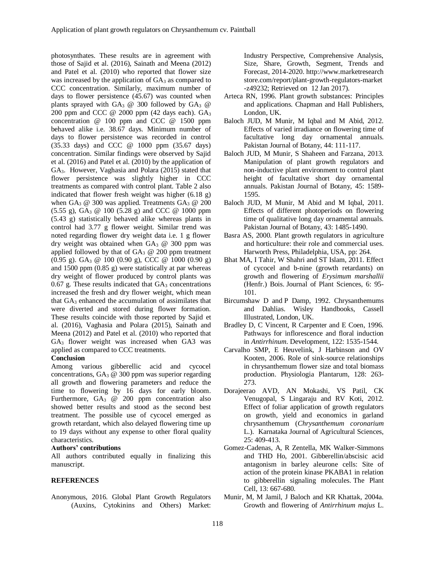photosynthates. These results are in agreement with those of Sajid et al. (2016), Sainath and Meena (2012) and Patel et al. (2010) who reported that flower size was increased by the application of  $GA_3$  as compared to CCC concentration. Similarly, maximum number of days to flower persistence (45.67) was counted when plants sprayed with  $GA_3$  @ 300 followed by  $GA_3$  @ 200 ppm and CCC  $\omega$  2000 ppm (42 days each).  $GA_3$ concentration @ 100 ppm and CCC @ 1500 ppm behaved alike i.e. 38.67 days. Minimum number of days to flower persistence was recorded in control (35.33 days) and CCC @ 1000 ppm (35.67 days) concentration. Similar findings were observed by Sajid et al. (2016) and Patel et al. (2010) by the application of GA3. However, Vaghasia and Polara (2015) stated that flower persistence was slightly higher in CCC treatments as compared with control plant. Table 2 also indicated that flower fresh weight was higher (6.18 g) when GA<sub>3</sub> @ 300 was applied. Treatments GA<sub>3</sub> @ 200 (5.55 g), GA<sup>3</sup> @ 100 (5.28 g) and CCC @ 1000 ppm (5.43 g) statistically behaved alike whereas plants in control had 3.77 g flower weight. Similar trend was noted regarding flower dry weight data i.e. 1 g flower dry weight was obtained when  $GA_3$  @ 300 ppm was applied followed by that of  $GA_3 \tQ 200$  ppm treatment (0.95 g). GA<sup>3</sup> @ 100 (0.90 g), CCC @ 1000 (0.90 g) and 1500 ppm (0.85 g) were statistically at par whereas dry weight of flower produced by control plants was  $0.67$  g. These results indicated that  $GA<sub>3</sub>$  concentrations increased the fresh and dry flower weight, which mean that GA<sub>3</sub> enhanced the accumulation of assimilates that were diverted and stored during flower formation. These results coincide with those reported by Sajid et al. (2016), Vaghasia and Polara (2015), Sainath and Meena (2012) and Patel et al. (2010) who reported that GA<sup>3</sup> flower weight was increased when GA3 was applied as compared to CCC treatments.

### **Conclusion**

Among various gibberellic acid and cycocel concentrations, GA<sup>3</sup> @ 300 ppm was superior regarding all growth and flowering parameters and reduce the time to flowering by 16 days for early bloom. Furthermore, GA<sub>3</sub> @ 200 ppm concentration also showed better results and stood as the second best treatment. The possible use of cycocel emerged as growth retardant, which also delayed flowering time up to 19 days without any expense to other floral quality characteristics.

### **Authors' contributions**

All authors contributed equally in finalizing this manuscript.

### **REFERENCES**

Anonymous, 2016. Global Plant Growth Regulators (Auxins, Cytokinins and Others) Market: Industry Perspective, Comprehensive Analysis, Size, Share, Growth, Segment, Trends and Forecast, 2014-2020. [http://www.marketresearch](http://www.marketresearchstore.com/report/plant-growth-regulators-market-z49232) [store.com/report/plant-growth-regulators-market](http://www.marketresearchstore.com/report/plant-growth-regulators-market-z49232) [-z49232;](http://www.marketresearchstore.com/report/plant-growth-regulators-market-z49232) Retrieved on 12 Jan 2017).

- Arteca RN, 1996. Plant growth substances: Principles and applications. Chapman and Hall Publishers, London, UK.
- Baloch JUD, M Munir, M Iqbal and M Abid, 2012. Effects of varied irradiance on flowering time of facultative long day ornamental annuals. Pakistan Journal of Botany, 44: 111-117.
- Baloch JUD, M Munir, S Shaheen and Farzana, 2013. Manipulation of plant growth regulators and non-inductive plant environment to control plant height of facultative short day ornamental annuals. Pakistan Journal of Botany, 45: 1589- 1595.
- Baloch JUD, M Munir, M Abid and M Iqbal, 2011. Effects of different photoperiods on flowering time of qualitative long day ornamental annuals. Pakistan Journal of Botany, 43: 1485-1490.
- Basra AS, 2000. Plant growth regulators in agriculture and horticulture: their role and commercial uses. Harworth Press, Philadelphia, USA, pp: 264.
- Bhat MA, I Tahir, W Shahri and ST Islam, 2011. Effect of cycocel and b-nine (growth retardants) on growth and flowering of *Erysimum marshallii* (Henfr.) Bois. Journal of Plant Sciences, 6: 95- 101.
- Bircumshaw D and P Damp, 1992. Chrysanthemums and Dahlias. Wisley Handbooks, Cassell Illustrated, London, UK.
- Bradley D, C Vincent, R Carpenter and E Coen, 1996. Pathways for inflorescence and floral induction in *Antirrhinum*. Development, 122: 1535-1544.
- Carvalho SMP, E Heuvelink, J Harbinson and OV Kooten, 2006. Role of sink-source relationships in chrysanthemum flower size and total biomass production. Physiologia Plantarum, 128: 263- 273.
- Dorajeerao AVD, AN Mokashi, VS Patil, CK Venugopal, S Lingaraju and RV Koti, 2012. Effect of foliar application of growth regulators on growth, yield and economics in garland chrysanthemum (*Chrysanthemum coronarium* L.). Karnataka Journal of Agricultural Sciences, 25: 409-413.
- Gomez-Cadenas, A, R Zentella, MK Walker-Simmons and THD Ho, 2001. Gibberellin/abscisic acid antagonism in barley aleurone cells: Site of action of the protein kinase PKABA1 in relation to gibberellin signaling molecules. The Plant Cell, 13: 667-680.
- Munir, M, M Jamil, J Baloch and KR Khattak, 2004a. Growth and flowering of *Antirrhinum majus* L.